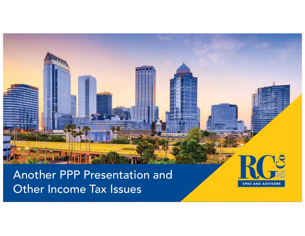#### Another PPP Presentation and Other Income Tax Issues

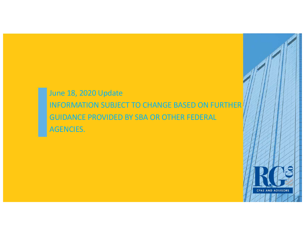#### June 18, 2020 Update INFORMATION SUBJECT TO CHANGE BASED ON FURTHER GUIDANCE PROVIDED BY SBA OR OTHER FEDERAL AGENCIES.

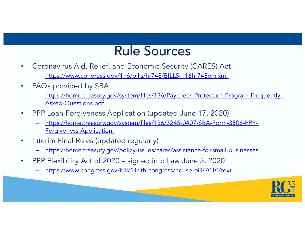#### Rule Sources

- Coronavirus Aid, Relief, and Economic Security (CARES) Act
	- [https://www.congress.gov/116/bills/hr748/BILLS-116hr748enr.xm](https://www.congress.gov/116/bills/hr748/BILLS-116hr748enr.xml)l
- FAQs provided by SBA
	- [https://home.treasury.gov/system/files/136/Paycheck-Protection-Program-Frequently-](https://home.treasury.gov/system/files/136/Paycheck-Protection-Program-Frequently-Asked-Questions.pdf)Asked-Questions.pdf
- PPP Loan Forgiveness Application (updated June 17, 2020)
	- [https://home.treasury.gov/system/files/136/3245-0407-SBA-Form-3508-PPP-](https://home.treasury.gov/system/files/136/3245-0407-SBA-Form-3508-PPP-Forgiveness-Application.pdf)Forgiveness-Application.
- Interim Final Rules (updated regularly)
	- <https://home.treasury.gov/policy-issues/cares/assistance-for-small-businesses>
- PPP Flexibility Act of 2020 signed into Law June 5, 2020
	- <https://www.congress.gov/bill/116th-congress/house-bill/7010/text>

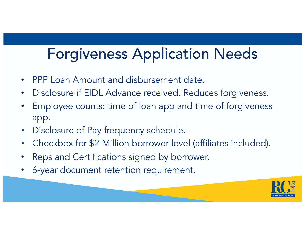#### Forgiveness Application Needs

- PPP Loan Amount and disbursement date.
- Disclosure if EIDL Advance received. Reduces forgiveness.
- Employee counts: time of loan app and time of forgiveness app.
- Disclosure of Pay frequency schedule.
- Checkbox for \$2 Million borrower level (affiliates included).
- Reps and Certifications signed by borrower.
- 6-year document retention requirement.

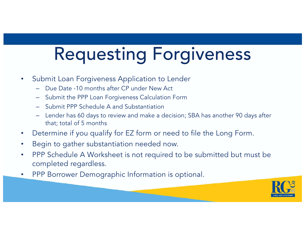# Requesting Forgiveness

- Submit Loan Forgiveness Application to Lender
	- Due Date -10 months after CP under New Act
	- Submit the PPP Loan Forgiveness Calculation Form
	- Submit PPP Schedule A and Substantiation
	- Lender has 60 days to review and make a decision; SBA has another 90 days after that; total of 5 months
- Determine if you qualify for EZ form or need to file the Long Form.
- Begin to gather substantiation needed now.
- PPP Schedule A Worksheet is not required to be submitted but must be completed regardless.
- PPP Borrower Demographic Information is optional.

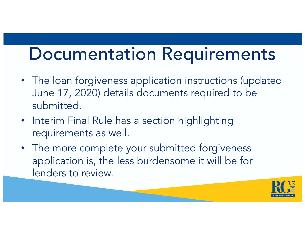### Documentation Requirements

- The loan forgiveness application instructions (updated June 17, 2020) details documents required to be submitted.
- Interim Final Rule has a section highlighting requirements as well.
- The more complete your submitted forgiveness application is, the less burdensome it will be for lenders to review.

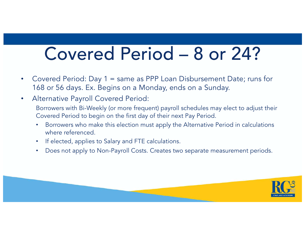### Covered Period – 8 or 24?

- Covered Period: Day 1 = same as PPP Loan Disbursement Date; runs for 168 or 56 days. Ex. Begins on a Monday, ends on a Sunday.
- Alternative Payroll Covered Period: Borrowers with Bi-Weekly (or more frequent) payroll schedules may elect to adjust their Covered Period to begin on the first day of their next Pay Period.
	- Borrowers who make this election must apply the Alternative Period in calculations where referenced.
	- If elected, applies to Salary and FTE calculations.
	- Does not apply to Non-Payroll Costs. Creates two separate measurement periods.

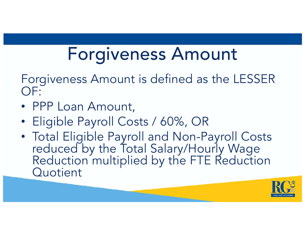## Forgiveness Amount

Forgiveness Amount is defined as the LESSER OF:

- PPP Loan Amount,
- Eligible Payroll Costs / 60%, OR
- Total Eligible Payroll and Non-Payroll Costs reduced by the Total Salary/Hourly Wage Reduction multiplied by the FTE Reduction **Quotient**

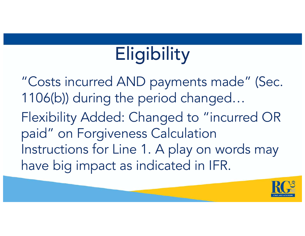# **Eligibility**

"Costs incurred AND payments made" (Sec. 1106(b)) during the period changed… Flexibility Added: Changed to "incurred OR paid" on Forgiveness Calculation Instructions for Line 1. A play on words may have big impact as indicated in IFR.

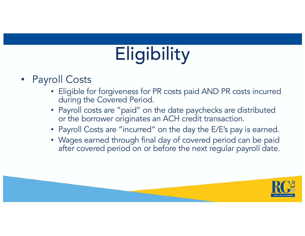# **Eligibility**

- Payroll Costs
	- Eligible for forgiveness for PR costs paid AND PR costs incurred during the Covered Period.
	- Payroll costs are "paid" on the date paychecks are distributed or the borrower originates an ACH credit transaction.
	- Payroll Costs are "incurred" on the day the E/E's pay is earned.
	- Wages earned through final day of covered period can be paid after covered period on or before the next regular payroll date.

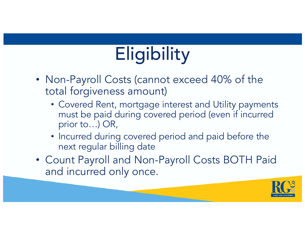# **Eligibility**

- Non-Payroll Costs (cannot exceed 40% of the total forgiveness amount)
	- Covered Rent, mortgage interest and Utility payments must be paid during covered period (even if incurred prior to…) OR,
	- Incurred during covered period and paid before the next regular billing date
- Count Payroll and Non-Payroll Costs BOTH Paid and incurred only once.

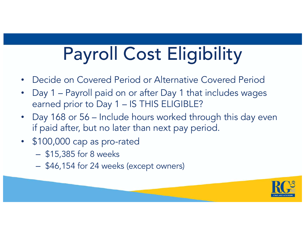# Payroll Cost Eligibility

- Decide on Covered Period or Alternative Covered Period
- Day 1 Payroll paid on or after Day 1 that includes wages earned prior to Day 1 – IS THIS ELIGIBLE?
- Day 168 or 56 Include hours worked through this day even if paid after, but no later than next pay period.
- \$100,000 cap as pro-rated
	- \$15,385 for 8 weeks
	- \$46,154 for 24 weeks (except owners)

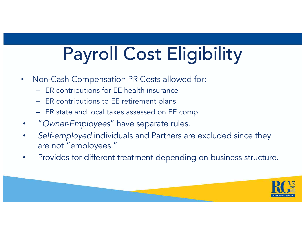# Payroll Cost Eligibility

- Non-Cash Compensation PR Costs allowed for:
	- ER contributions for EE health insurance
	- ER contributions to EE retirement plans
	- ER state and local taxes assessed on EE comp
- "*Owner-Employees*" have separate rules.
- Self-employed individuals and Partners are excluded since they are not "employees."
- Provides for different treatment depending on business structure.

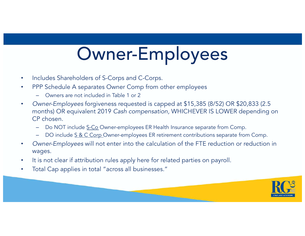## Owner-Employees

- Includes Shareholders of S-Corps and C-Corps.
- PPP Schedule A separates Owner Comp from other employees
	- Owners are not included in Table 1 or 2
- *Owner-Employees* forgiveness requested is capped at \$15,385 (8/52) OR \$20,833 (2.5 months) OR equivalent 2019 *Cash compensation,* WHICHEVER IS LOWER depending on CP chosen.
	- Do NOT include S-Co Owner-employees ER Health Insurance separate from Comp.
	- DO include S & C Corp Owner-employees ER retirement contributions separate from Comp.
- *Owner-Employees* will not enter into the calculation of the FTE reduction or reduction in wages.
- It is not clear if attribution rules apply here for related parties on payroll.
- Total Cap applies in total "across all businesses."

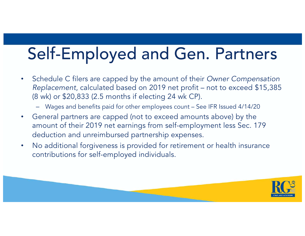### Self-Employed and Gen. Partners

- Schedule C filers are capped by the amount of their *Owner Compensation Replacement*, calculated based on 2019 net profit – not to exceed \$15,385 (8 wk) or \$20,833 (2.5 months if electing 24 wk CP).
	- Wages and benefits paid for other employees count See IFR Issued 4/14/20
- General partners are capped (not to exceed amounts above) by the amount of their 2019 net earnings from self-employment less Sec. 179 deduction and unreimbursed partnership expenses.
- No additional forgiveness is provided for retirement or health insurance contributions for self-employed individuals.

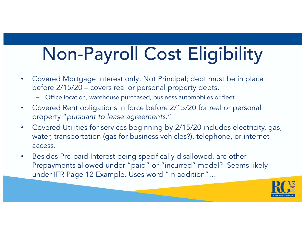# Non-Payroll Cost Eligibility

- Covered Mortgage Interest only; Not Principal; debt must be in place before 2/15/20 – covers real or personal property debts.
	- Office location, warehouse purchased, business automobiles or fleet
- Covered Rent obligations in force before 2/15/20 for real or personal property "*pursuant to lease agreements.*"
- Covered Utilities for services beginning by 2/15/20 includes electricity, gas, water, transportation (gas for business vehicles?), telephone, or internet access.
- Besides Pre-paid Interest being specifically disallowed, are other Prepayments allowed under "paid" or "incurred" model? Seems likely under IFR Page 12 Example. Uses word "In addition"…

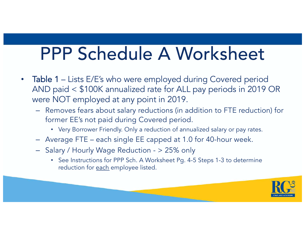### PPP Schedule A Worksheet

- Table 1 Lists E/E's who were employed during Covered period AND paid < \$100K annualized rate for ALL pay periods in 2019 OR were NOT employed at any point in 2019.
	- Removes fears about salary reductions (in addition to FTE reduction) for former EE's not paid during Covered period.
		- Very Borrower Friendly. Only a reduction of annualized salary or pay rates.
	- Average FTE each single EE capped at 1.0 for 40-hour week.
	- Salary / Hourly Wage Reduction > 25% only
		- See Instructions for PPP Sch. A Worksheet Pg. 4-5 Steps 1-3 to determine reduction for each employee listed.

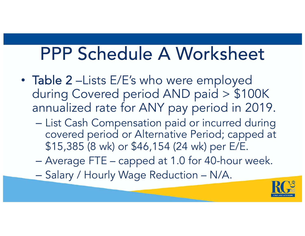### PPP Schedule A Worksheet

- Table 2 –Lists E/E's who were employed during Covered period AND paid > \$100K annualized rate for ANY pay period in 2019.
	- List Cash Compensation paid or incurred during covered period or Alternative Period; capped at \$15,385 (8 wk) or \$46,154 (24 wk) per E/E.
	- Average FTE capped at 1.0 for 40-hour week.
	- Salary / Hourly Wage Reduction N/A.

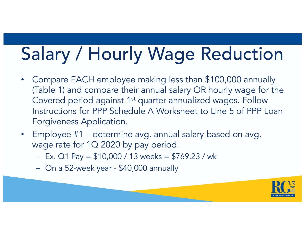# Salary / Hourly Wage Reduction

- Compare EACH employee making less than \$100,000 annually (Table 1) and compare their annual salary OR hourly wage for the Covered period against 1<sup>st</sup> quarter annualized wages. Follow Instructions for PPP Schedule A Worksheet to Line 5 of PPP Loan Forgiveness Application.
- Employee #1 determine avg. annual salary based on avg. wage rate for 1Q 2020 by pay period.
	- $-$  Ex. Q1 Pay = \$10,000 / 13 weeks = \$769.23 / wk
	- On a 52-week year \$40,000 annually

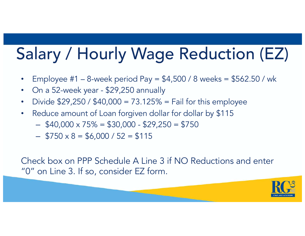## Salary / Hourly Wage Reduction (EZ)

- Employee #1 8-week period Pay = \$4,500 / 8 weeks = \$562.50 / wk
- On a 52-week year \$29,250 annually
- Divide  $$29,250 / $40,000 = 73.125% =$  Fail for this employee
- Reduce amount of Loan forgiven dollar for dollar by \$115
	- $-$  \$40,000 x 75% = \$30,000 \$29,250 = \$750
	- $-$  \$750 x 8 = \$6,000 / 52 = \$115

Check box on PPP Schedule A Line 3 if NO Reductions and enter "0" on Line 3. If so, consider EZ form.

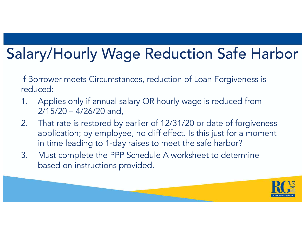### Salary/Hourly Wage Reduction Safe Harbor

If Borrower meets Circumstances, reduction of Loan Forgiveness is reduced:

- 1. Applies only if annual salary OR hourly wage is reduced from 2/15/20 – 4/26/20 and,
- 2. That rate is restored by earlier of 12/31/20 or date of forgiveness application; by employee, no cliff effect. Is this just for a moment in time leading to 1-day raises to meet the safe harbor?
- 3. Must complete the PPP Schedule A worksheet to determine based on instructions provided.

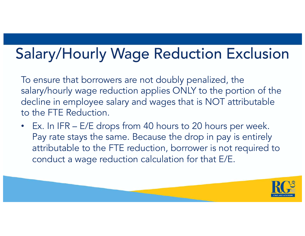### Salary/Hourly Wage Reduction Exclusion

To ensure that borrowers are not doubly penalized, the salary/hourly wage reduction applies ONLY to the portion of the decline in employee salary and wages that is NOT attributable to the FTE Reduction.

• Ex. In IFR – E/E drops from 40 hours to 20 hours per week. Pay rate stays the same. Because the drop in pay is entirely attributable to the FTE reduction, borrower is not required to conduct a wage reduction calculation for that E/E.

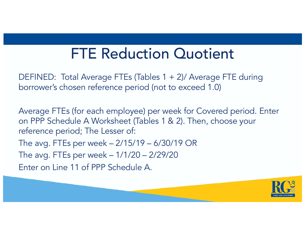#### FTE Reduction Quotient

DEFINED: Total Average FTEs (Tables 1 + 2)/ Average FTE during borrower's chosen reference period (not to exceed 1.0)

Average FTEs (for each employee) per week for Covered period. Enter on PPP Schedule A Worksheet (Tables 1 & 2). Then, choose your reference period; The Lesser of:

The avg. FTEs per week – 2/15/19 – 6/30/19 OR

The avg. FTEs per week – 1/1/20 – 2/29/20

Enter on Line 11 of PPP Schedule A.

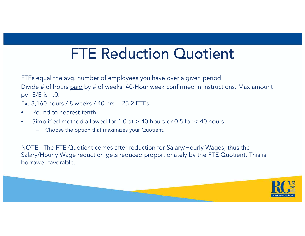#### FTE Reduction Quotient

FTEs equal the avg. number of employees you have over a given period Divide # of hours paid by # of weeks. 40-Hour week confirmed in Instructions. Max amount per E/E is 1.0.

Ex. 8,160 hours / 8 weeks / 40 hrs = 25.2 FTEs

- Round to nearest tenth
- Simplified method allowed for 1.0 at > 40 hours or 0.5 for < 40 hours
	- Choose the option that maximizes your Quotient.

NOTE: The FTE Quotient comes after reduction for Salary/Hourly Wages, thus the Salary/Hourly Wage reduction gets reduced proportionately by the FTE Quotient. This is borrower favorable.

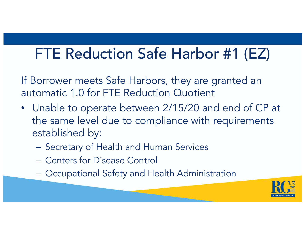#### FTE Reduction Safe Harbor #1 (EZ)

If Borrower meets Safe Harbors, they are granted an automatic 1.0 for FTE Reduction Quotient

- Unable to operate between 2/15/20 and end of CP at the same level due to compliance with requirements established by:
	- Secretary of Health and Human Services
	- Centers for Disease Control
	- Occupational Safety and Health Administration

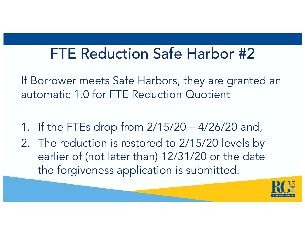#### FTE Reduction Safe Harbor #2

If Borrower meets Safe Harbors, they are granted an automatic 1.0 for FTE Reduction Quotient

- 1. If the FTEs drop from 2/15/20 4/26/20 and,
- 2. The reduction is restored to 2/15/20 levels by earlier of (not later than) 12/31/20 or the date the forgiveness application is submitted.

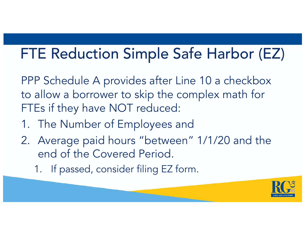#### FTE Reduction Simple Safe Harbor (EZ)

PPP Schedule A provides after Line 10 a checkbox to allow a borrower to skip the complex math for FTEs if they have NOT reduced:

- 1. The Number of Employees and
- 2. Average paid hours "between" 1/1/20 and the end of the Covered Period.
	- 1. If passed, consider filing EZ form.

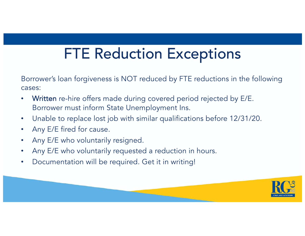#### FTE Reduction Exceptions

Borrower's loan forgiveness is NOT reduced by FTE reductions in the following cases:

- Written re-hire offers made during covered period rejected by E/E. Borrower must inform State Unemployment Ins.
- Unable to replace lost job with similar qualifications before 12/31/20.
- Any E/E fired for cause.
- Any E/E who voluntarily resigned.
- Any E/E who voluntarily requested a reduction in hours.
- Documentation will be required. Get it in writing!

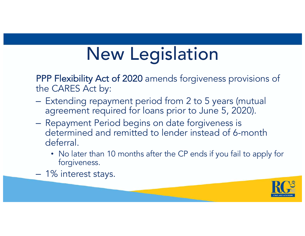PPP Flexibility Act of 2020 amends forgiveness provisions of the CARES Act by:

- Extending repayment period from 2 to 5 years (mutual agreement required for loans prior to June 5, 2020).
- Repayment Period begins on date forgiveness is determined and remitted to lender instead of 6-month deferral.
	- No later than 10 months after the CP ends if you fail to apply for forgiveness.
- 1% interest stays.

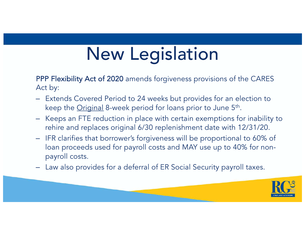PPP Flexibility Act of 2020 amends forgiveness provisions of the CARES Act by:

- Extends Covered Period to 24 weeks but provides for an election to keep the Original 8-week period for loans prior to June 5<sup>th</sup>.
- Keeps an FTE reduction in place with certain exemptions for inability to rehire and replaces original 6/30 replenishment date with 12/31/20.
- IFR clarifies that borrower's forgiveness will be proportional to 60% of loan proceeds used for payroll costs and MAY use up to 40% for nonpayroll costs.
- Law also provides for a deferral of ER Social Security payroll taxes.

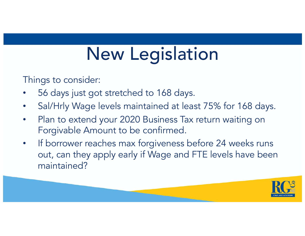Things to consider:

- 56 days just got stretched to 168 days.
- Sal/Hrly Wage levels maintained at least 75% for 168 days.
- Plan to extend your 2020 Business Tax return waiting on Forgivable Amount to be confirmed.
- If borrower reaches max forgiveness before 24 weeks runs out, can they apply early if Wage and FTE levels have been maintained?

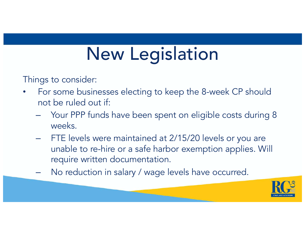Things to consider:

- For some businesses electing to keep the 8-week CP should not be ruled out if:
	- Your PPP funds have been spent on eligible costs during 8 weeks.
	- FTE levels were maintained at 2/15/20 levels or you are unable to re-hire or a safe harbor exemption applies. Will require written documentation.
	- No reduction in salary / wage levels have occurred.

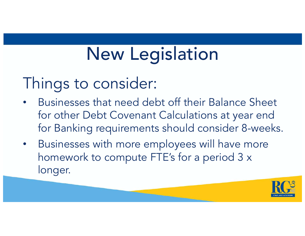### Things to consider:

- Businesses that need debt off their Balance Sheet for other Debt Covenant Calculations at year end for Banking requirements should consider 8-weeks.
- Businesses with more employees will have more homework to compute FTE's for a period 3 x longer.

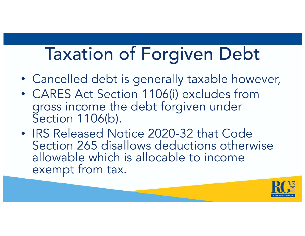## Taxation of Forgiven Debt

- Cancelled debt is generally taxable however,
- CARES Act Section 1106(i) excludes from gross income the debt forgiven under Section 1106(b).
- IRS Released Notice 2020-32 that Code Section 265 disallows deductions otherwise allowable which is allocable to income exempt from tax.

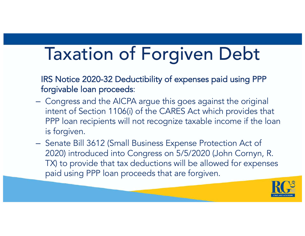## Taxation of Forgiven Debt

IRS Notice 2020-32 Deductibility of expenses paid using PPP forgivable loan proceeds:

- Congress and the AICPA argue this goes against the original intent of Section 1106(i) of the CARES Act which provides that PPP loan recipients will not recognize taxable income if the loan is forgiven.
- Senate Bill 3612 (Small Business Expense Protection Act of 2020) introduced into Congress on 5/5/2020 (John Cornyn, R. TX) to provide that tax deductions will be allowed for expenses paid using PPP loan proceeds that are forgiven.

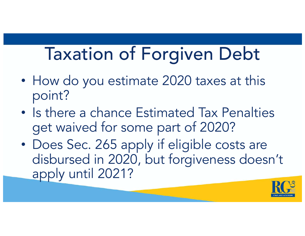## Taxation of Forgiven Debt

- How do you estimate 2020 taxes at this point?
- Is there a chance Estimated Tax Penalties get waived for some part of 2020?
- Does Sec. 265 apply if eligible costs are disbursed in 2020, but forgiveness doesn't apply until 2021?

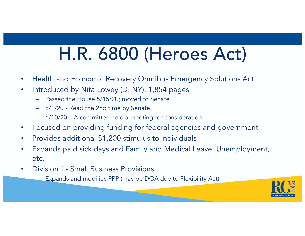## H.R. 6800 (Heroes Act)

- Health and Economic Recovery Omnibus Emergency Solutions Act
- Introduced by Nita Lowey (D. NY); 1,854 pages
	- Passed the House 5/15/20; moved to Senate
	- 6/1/20 Read the 2nd time by Senate
	- 6/10/20 A committee held a meeting for consideration
- Focused on providing funding for federal agencies and government
- Provides additional \$1,200 stimulus to individuals
- Expands paid sick days and Family and Medical Leave, Unemployment, etc.
- Division I Small Business Provisions:
	- Expands and modifies PPP (may be DOA due to Flexibility Act)